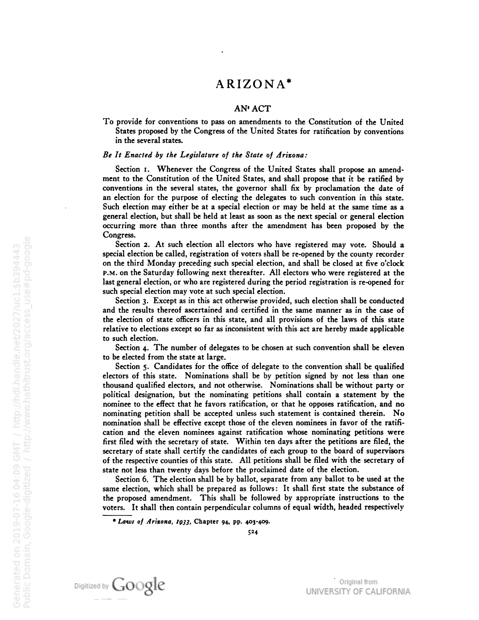# ARIZONA\*

## AN' ACT

To provide for conventions to pass on amendments to the Constitution of the United States proposed by the Congress of the United States for ratification by conventions in the several states.

## Be It Enacted by the Legislature of the State of Arizona:

Section 1. Whenever the Congress of the United States shall propose an amend ment to the Constitution of the United States, and shall propose that it be ratified by conventions in the several states, the governor shall fix by proclamation the date of an election for the purpose of electing the delegates to such convention in this state. Such election may either be at a special election or may be held at the same time as a general election, but shall be held at least as soon as the next special or general election occurring more than three months after the amendment has been proposed by the Congress.

Section 2. At such election all electors who have registered may vote. Should <sup>a</sup> special election be called, registration of voters shall be re-opened by the county recorder on the third Monday preceding such special election, and shall be closed at five o'clock p.m. on the Saturday following next thereafter. All electors who were registered at the last general election, or who are registered during the period registration is re-opened for such special election may vote at such special election.

Section 3. Except as in this act otherwise provided, such election shall be conducted and the results thereof ascertained and certified in the same manner as in the case of the election of state officers in this state, and all provisions of the laws of this state relative to elections except so far as inconsistent with this act are hereby made applicable to such election.

Section 4. The number of delegates to be chosen at such convention shall be eleven to be elected from the state at large.

Section 5. Candidates for the office of delegate to the convention shall be qualified electors of this state. Nominations shall be by petition signed by not less than one thousand qualified electors, and not otherwise. Nominations shall be without party or political designation, but the nominating petitions shall contain a statement by the nominee to the effect that he favors ratification, or that he opposes ratification, and no nominating petition shall be accepted unless such statement is contained therein. No nomination shall be effective except those of the eleven nominees in favor of the ratifi cation and the eleven nominees against ratification whose nominating petitions were first filed with the secretary of state. Within ten days after the petitions are filed, the secretary of state shall certify the candidates of each group to the board of supervisors of the respective counties of this state. All petitions shall be filed with the secretary of state not less than twenty days before the proclaimed date of the election.

Section 6. The election shall be by ballot, separate from any ballot to be used at the same election, which shall be prepared as follows: It shall first state the substance of the proposed amendment. This shall be followed by appropriate instructions to the voters. It shall then contain perpendicular columns of equal width, headed respectively

\* Laws of Arizona, 1933, Chapter 94, pp. 403-409.

Digitized by Google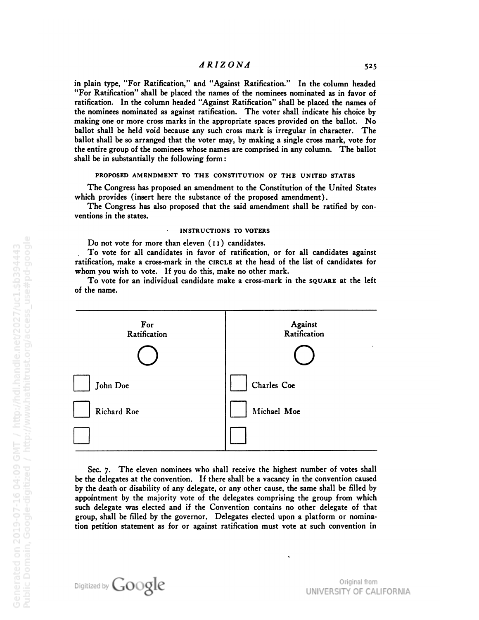in plain type, "For Ratification," and "Against Ratification." In the column headed "For Ratification" shall be placed the names of the nominees nominated as in favor of ratification. In the column headed "Against Ratification" shall be placed the names of the nominees nominated as against ratification. The voter shall indicate his choice by making one or more cross marks in the appropriate spaces provided on the ballot. No ballot shall be held void because any such cross mark is irregular in character. The ballot shall be so arranged that the voter may, by making a single cross mark, vote for the entire group of the nominees whose names are comprised in any column. The ballot shall be in substantially the following form :

#### PROPOSED AMENDMENT TO THE CONSTITUTION OF THE UNITED STATES

The Congress has proposed an amendment to the Constitution of the United States which provides (insert here the substance of the proposed amendment).

The Congress has also proposed that the said amendment shall be ratified by con ventions in the states.

### INSTRUCTIONS TO VOTERS

Do not vote for more than eleven (11) candidates.

To vote for all candidates in favor of ratification, or for all candidates against ratification, make <sup>a</sup> cross-mark in the c1rcle at the head of the list of candidates for whom you wish to vote. If you do this, make no other mark.

To vote for an individual candidate make <sup>a</sup> cross-mark in the square at the left of the name.



Sec. 7. The eleven nominees who shall receive the highest number of votes shall be the delegates at the convention. If there shall be <sup>a</sup> vacancy in the convention caused by the death or disability of any delegate, or any other cause, the same shall be filled by appointment by the majority vote of the delegates comprising the group from which such delegate was elected and if the Convention contains no other delegate of that group, shall be filled by the governor. Delegates elected upon <sup>a</sup> platform or nomina tion petition statement as for or against ratification must vote at such convention in